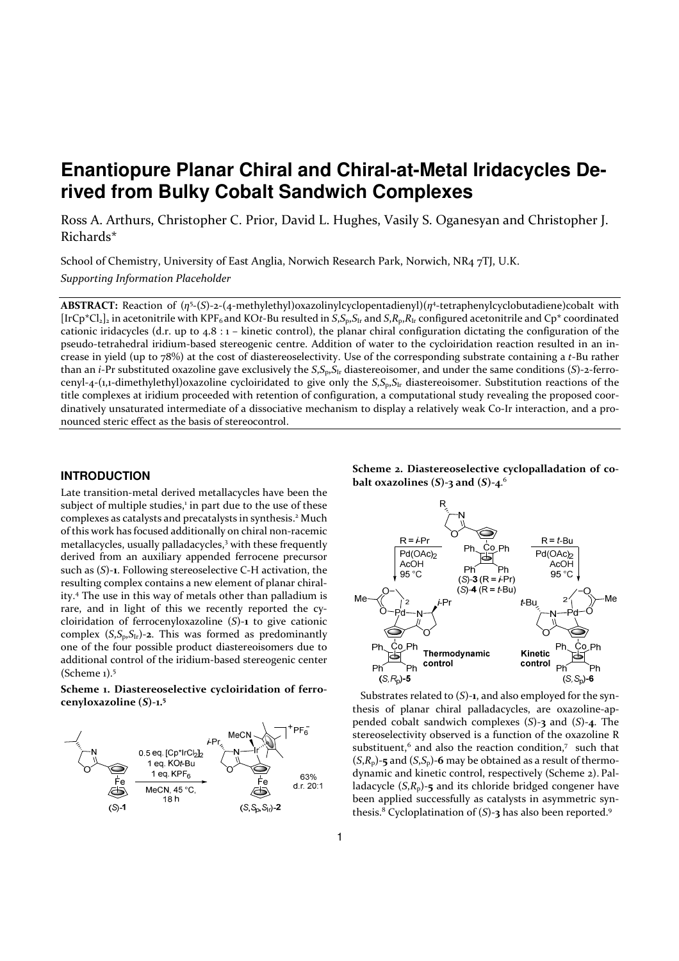# **Enantiopure Planar Chiral and Chiral-at-Metal Iridacycles Derived from Bulky Cobalt Sandwich Complexes**

Ross A. Arthurs, Christopher C. Prior, David L. Hughes, Vasily S. Oganesyan and Christopher J. Richards\*

School of Chemistry, University of East Anglia, Norwich Research Park, Norwich, NR4 7TJ, U.K. *Supporting Information Placeholder*

**ABSTRACT:** Reaction of (*η*<sup>5</sup>-(*S*)-2-(4-methylethyl)oxazolinylcyclopentadienyl)(*η*<sup>4</sup>-tetraphenylcyclobutadiene)cobalt with  $[IrCp*Cl_2]_2$  in acetonitrile with KPF<sub>6</sub> and KOt-Bu resulted in  $S, S_p, S_l$  and  $S, R_p, R_l$  configured acetonitrile and  $Cp^*$  coordinated cationic iridacycles (d.r. up to 4.8 : 1 – kinetic control), the planar chiral configuration dictating the configuration of the pseudo-tetrahedral iridium-based stereogenic centre. Addition of water to the cycloiridation reaction resulted in an increase in yield (up to 78%) at the cost of diastereoselectivity. Use of the corresponding substrate containing a *t*-Bu rather than an *i*-Pr substituted oxazoline gave exclusively the *S*,*S*p,*S*Ir diastereoisomer, and under the same conditions (*S*)-2-ferrocenyl-4-(1,1-dimethylethyl)oxazoline cycloiridated to give only the *S*,*S*p,*S*Ir diastereoisomer. Substitution reactions of the title complexes at iridium proceeded with retention of configuration, a computational study revealing the proposed coordinatively unsaturated intermediate of a dissociative mechanism to display a relatively weak Co-Ir interaction, and a pronounced steric effect as the basis of stereocontrol.

# **INTRODUCTION**

Late transition-metal derived metallacycles have been the subject of multiple studies,<sup>1</sup> in part due to the use of these complexes as catalysts and precatalysts in synthesis.<sup>2</sup> Much of this work has focused additionally on chiral non-racemic metallacycles, usually palladacycles,<sup>3</sup> with these frequently derived from an auxiliary appended ferrocene precursor such as (*S*)-**1**. Following stereoselective C-H activation, the resulting complex contains a new element of planar chirality.<sup>4</sup> The use in this way of metals other than palladium is rare, and in light of this we recently reported the cycloiridation of ferrocenyloxazoline (*S*)-**1** to give cationic complex  $(S, S_p, S_{Ir})$ -2. This was formed as predominantly one of the four possible product diastereoisomers due to additional control of the iridium-based stereogenic center (Scheme 1).<sup>5</sup>

**Scheme 1. Diastereoselective cycloiridation of ferrocenyloxazoline (***S***)-1.<sup>5</sup>**



# **Scheme 2. Diastereoselective cyclopalladation of cobalt oxazolines (***S***)-3 and (***S***)-4**. 6



Substrates related to (*S*)-**1**, and also employed for the synthesis of planar chiral palladacycles, are oxazoline-appended cobalt sandwich complexes (*S*)-**3** and (*S*)-**4**. The stereoselectivity observed is a function of the oxazoline R substituent,<sup>6</sup> and also the reaction condition,7 such that  $(S,R_p)$ -5 and  $(S,S_p)$ -6 may be obtained as a result of thermodynamic and kinetic control, respectively (Scheme 2). Palladacycle  $(S,R_p)$ -5 and its chloride bridged congener have been applied successfully as catalysts in asymmetric synthesis.<sup>8</sup> Cycloplatination of (*S*)-**3** has also been reported.<sup>9</sup>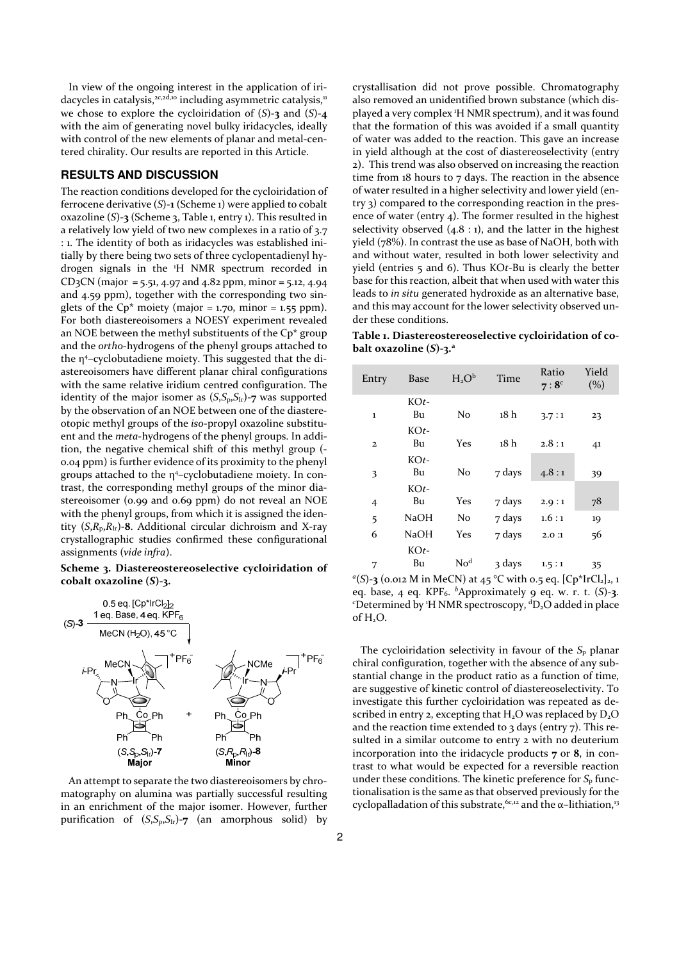In view of the ongoing interest in the application of iridacycles in catalysis,<sup>2c,2d,10</sup> including asymmetric catalysis,<sup>11</sup> we chose to explore the cycloiridation of (*S*)-**3** and (*S*)-**4**  with the aim of generating novel bulky iridacycles, ideally with control of the new elements of planar and metal-centered chirality. Our results are reported in this Article.

# **RESULTS AND DISCUSSION**

The reaction conditions developed for the cycloiridation of ferrocene derivative (*S*)-**1** (Scheme 1) were applied to cobalt oxazoline (*S*)-**3** (Scheme 3, Table 1, entry 1). This resulted in a relatively low yield of two new complexes in a ratio of 3.7 : 1. The identity of both as iridacycles was established initially by there being two sets of three cyclopentadienyl hydrogen signals in the <sup>1</sup>H NMR spectrum recorded in  $CD<sub>3</sub>CN$  (major = 5.51, 4.97 and 4.82 ppm, minor = 5.12, 4.94 and 4.59 ppm), together with the corresponding two singlets of the  $\text{Cp}^*$  moiety (major = 1.70, minor = 1.55 ppm). For both diastereoisomers a NOESY experiment revealed an NOE between the methyl substituents of the Cp\* group and the *ortho*-hydrogens of the phenyl groups attached to the η<sup>4</sup> –cyclobutadiene moiety. This suggested that the diastereoisomers have different planar chiral configurations with the same relative iridium centred configuration. The identity of the major isomer as  $(S, S_p, S_{Ir})$ -7 was supported by the observation of an NOE between one of the diastereotopic methyl groups of the *iso*-propyl oxazoline substituent and the *meta*-hydrogens of the phenyl groups. In addition, the negative chemical shift of this methyl group (- 0.04 ppm) is further evidence of its proximity to the phenyl groups attached to the η<sup>4</sup> –cyclobutadiene moiety. In contrast, the corresponding methyl groups of the minor diastereoisomer (0.99 and 0.69 ppm) do not reveal an NOE with the phenyl groups, from which it is assigned the identity  $(S, R_p, R_{Ir})$ -8. Additional circular dichroism and X-ray crystallographic studies confirmed these configurational assignments (*vide infra*).

**Scheme 3. Diastereostereoselective cycloiridation of cobalt oxazoline (***S***)-3.**



An attempt to separate the two diastereoisomers by chromatography on alumina was partially successful resulting in an enrichment of the major isomer. However, further purification of  $(S, S_p, S_{1r})$ -7 (an amorphous solid) by

crystallisation did not prove possible. Chromatography also removed an unidentified brown substance (which displayed a very complex <sup>1</sup>H NMR spectrum), and it was found that the formation of this was avoided if a small quantity of water was added to the reaction. This gave an increase in yield although at the cost of diastereoselectivity (entry 2). This trend was also observed on increasing the reaction time from 18 hours to 7 days. The reaction in the absence of water resulted in a higher selectivity and lower yield (entry 3) compared to the corresponding reaction in the presence of water (entry 4). The former resulted in the highest selectivity observed  $(4.8:1)$ , and the latter in the highest yield (78%). In contrast the use as base of NaOH, both with and without water, resulted in both lower selectivity and yield (entries 5 and 6). Thus KO*t*-Bu is clearly the better base for this reaction, albeit that when used with water this leads to *in situ* generated hydroxide as an alternative base, and this may account for the lower selectivity observed under these conditions.

**Table 1. Diastereostereoselective cycloiridation of cobalt oxazoline (***S***)-3.<sup>a</sup>**

| Entry        | <b>Base</b>  | $H_2O^b$        | Time   | Ratio<br>$7:8^c$ | Yield<br>(%) |
|--------------|--------------|-----------------|--------|------------------|--------------|
| $\mathbf{1}$ | $KOt-$<br>Bu | No              | 18 h   | 3.7:1            | 23           |
| $\mathbf{z}$ | $KOt-$<br>Bu | Yes             | 18 h   | 2.8:1            | 41           |
| 3            | $KOt-$<br>Bu | No              | 7 days | 4.8:1            | 39           |
| 4            | $KOt-$<br>Bu | Yes             | 7 days | 2.9:1            | 78           |
| 5            | <b>NaOH</b>  | No              | 7 days | 1.6:1            | 19           |
| 6            | NaOH         | Yes             | 7 days | 2.0:1            | 56           |
| 7            | $KOt-$<br>Bu | No <sup>d</sup> | 3 days | 1.5:1            | 35           |

<sup>*a*</sup>(*S*)-**3** (0.012 M in MeCN) at 45 °C with 0.5 eq. [Cp\*IrCl<sub>2</sub>]<sub>2</sub>, 1 eq. base, 4 eq. KPF<sub>6</sub>. <sup>b</sup>Approximately 9 eq. w. r. t. (S)-3. <sup>c</sup>Determined by <sup>1</sup>H NMR spectroscopy, <sup>d</sup>D<sub>2</sub>O added in place of H<sub>2</sub>O.

The cycloiridation selectivity in favour of the  $S_p$  planar chiral configuration, together with the absence of any substantial change in the product ratio as a function of time, are suggestive of kinetic control of diastereoselectivity. To investigate this further cycloiridation was repeated as described in entry 2, excepting that  $H_2O$  was replaced by  $D_2O$ and the reaction time extended to  $3$  days (entry  $7$ ). This resulted in a similar outcome to entry 2 with no deuterium incorporation into the iridacycle products **7** or **8**, in contrast to what would be expected for a reversible reaction under these conditions. The kinetic preference for  $S_p$  functionalisation is the same as that observed previously for the cyclopalladation of this substrate,  $6c,12$  and the  $\alpha$ -lithiation,<sup>13</sup>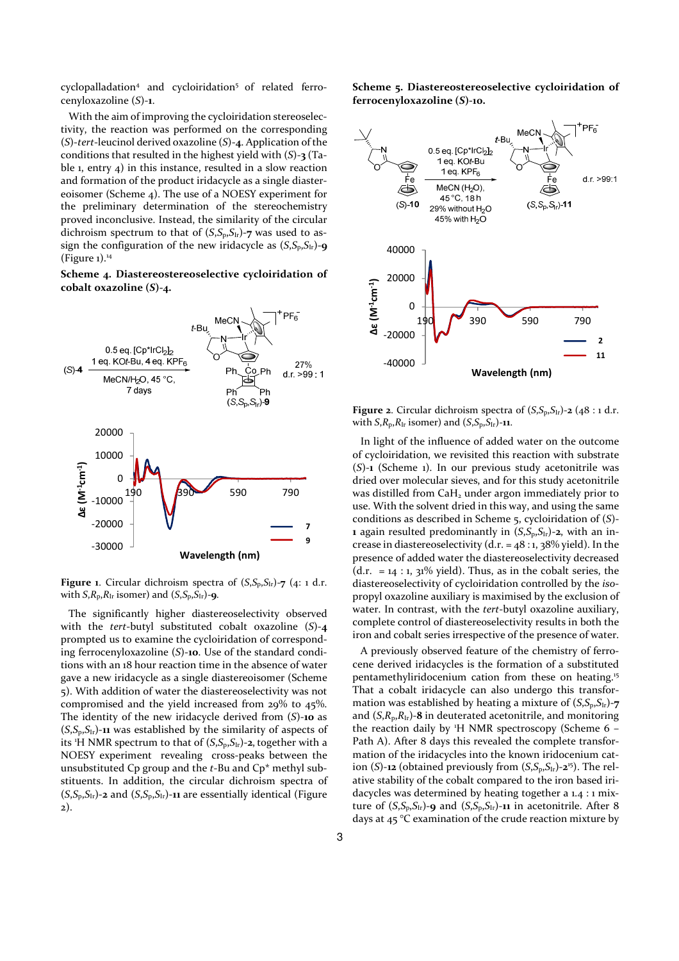cyclopalladation<sup>4</sup> and cycloiridation<sup>5</sup> of related ferrocenyloxazoline (*S*)-**1**.

With the aim of improving the cycloiridation stereoselectivity, the reaction was performed on the corresponding (*S*)-*tert*-leucinol derived oxazoline (*S*)-**4**. Application of the conditions that resulted in the highest yield with (*S*)-**3** (Table 1, entry 4) in this instance, resulted in a slow reaction and formation of the product iridacycle as a single diastereoisomer (Scheme 4). The use of a NOESY experiment for the preliminary determination of the stereochemistry proved inconclusive. Instead, the similarity of the circular dichroism spectrum to that of  $(S, S_p, S_{Ir})$ -7 was used to assign the configuration of the new iridacycle as  $(S, S_p, S_{1r})$ -9 (Figure  $1$ ).<sup>14</sup>

**Scheme 4. Diastereostereoselective cycloiridation of cobalt oxazoline (***S***)-4.** 



**Figure 1.** Circular dichroism spectra of  $(S, S_p, S_{\text{Ir}})$ -7 (4: 1 d.r. with  $S$ , $R_p$ , $R_l$  isomer) and  $(S$ , $S_p$ , $S_l$ <sub>r</sub> $)$ -**9**.

The significantly higher diastereoselectivity observed with the *tert*-butyl substituted cobalt oxazoline (*S*)-**4** prompted us to examine the cycloiridation of corresponding ferrocenyloxazoline (*S*)-**10**. Use of the standard conditions with an 18 hour reaction time in the absence of water gave a new iridacycle as a single diastereoisomer (Scheme 5). With addition of water the diastereoselectivity was not compromised and the yield increased from 29% to 45%. The identity of the new iridacycle derived from (*S*)-**10** as  $(S, S_p, S_{Ir})$ -11 was established by the similarity of aspects of its <sup>1</sup>H NMR spectrum to that of  $(S, S_p, S_{Ir})$ -2, together with a NOESY experiment revealing cross-peaks between the unsubstituted Cp group and the *t*-Bu and Cp\* methyl substituents. In addition, the circular dichroism spectra of  $(S, S_n, S_{1r})$ -2 and  $(S, S_n, S_{1r})$ -11 are essentially identical (Figure 2).

**Scheme 5. Diastereostereoselective cycloiridation of ferrocenyloxazoline (***S***)-10.** 



**Figure 2.** Circular dichroism spectra of  $(S, S_p, S_H)$ -2 (48 : 1 d.r. with  $S$ , $R_p$ , $R_l$  isomer) and  $(S$ , $S_p$ , $S_l$ <sub>r</sub> $)$ -**11**.

In light of the influence of added water on the outcome of cycloiridation, we revisited this reaction with substrate (*S*)-**1** (Scheme 1). In our previous study acetonitrile was dried over molecular sieves, and for this study acetonitrile was distilled from CaH<sub>2</sub> under argon immediately prior to use. With the solvent dried in this way, and using the same conditions as described in Scheme 5, cycloiridation of (*S*)- **1** again resulted predominantly in (*S*,*S*p,*S*Ir)-**2**, with an increase in diastereoselectivity (d.r. =  $48:1$ ,  $38\%$  yield). In the presence of added water the diastereoselectivity decreased  $(d.r. = 14 : 1, 31\%)$  yield). Thus, as in the cobalt series, the diastereoselectivity of cycloiridation controlled by the *iso*propyl oxazoline auxiliary is maximised by the exclusion of water. In contrast, with the *tert*-butyl oxazoline auxiliary, complete control of diastereoselectivity results in both the iron and cobalt series irrespective of the presence of water.

A previously observed feature of the chemistry of ferrocene derived iridacycles is the formation of a substituted pentamethyliridocenium cation from these on heating.<sup>15</sup> That a cobalt iridacycle can also undergo this transformation was established by heating a mixture of  $(S, S_p, S_{\text{Ir}})$ -7 and (*S*,*R*p,*R*Ir)-**8** in deuterated acetonitrile, and monitoring the reaction daily by <sup>1</sup>H NMR spectroscopy (Scheme 6 – Path A). After 8 days this revealed the complete transformation of the iridacycles into the known iridocenium cation (*S*)-**12** (obtained previously from (*S*,*S*p,*S*Ir)-**2** 15). The relative stability of the cobalt compared to the iron based iridacycles was determined by heating together a 1.4 : 1 mixture of  $(S, S_p, S_{Ir})$ -9 and  $(S, S_p, S_{Ir})$ -11 in acetonitrile. After 8 days at 45 °C examination of the crude reaction mixture by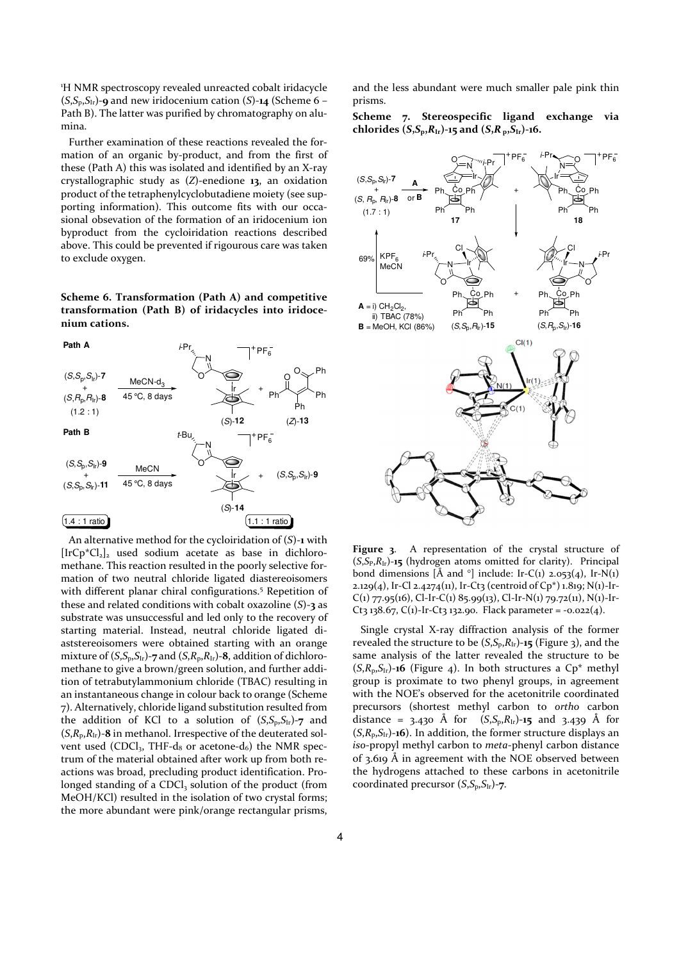<sup>1</sup>H NMR spectroscopy revealed unreacted cobalt iridacycle  $(S, S_p, S_{Ir})$ -9 and new iridocenium cation  $(S)$ -14 (Scheme 6 – Path B). The latter was purified by chromatography on alumina.

Further examination of these reactions revealed the formation of an organic by-product, and from the first of these (Path A) this was isolated and identified by an X-ray crystallographic study as (*Z*)-enedione **13**, an oxidation product of the tetraphenylcyclobutadiene moiety (see supporting information). This outcome fits with our occasional obsevation of the formation of an iridocenium ion byproduct from the cycloiridation reactions described above. This could be prevented if rigourous care was taken to exclude oxygen.

**Scheme 6. Transformation (Path A) and competitive transformation (Path B) of iridacycles into iridocenium cations.** 



An alternative method for the cycloiridation of (*S*)-**1** with  $[IrCp*Cl<sub>2</sub>]<sub>2</sub>$  used sodium acetate as base in dichloromethane. This reaction resulted in the poorly selective formation of two neutral chloride ligated diastereoisomers with different planar chiral configurations.<sup>5</sup> Repetition of these and related conditions with cobalt oxazoline (*S*)-**3** as substrate was unsuccessful and led only to the recovery of starting material. Instead, neutral chloride ligated diaststereoisomers were obtained starting with an orange mixture of  $(S, S_p, S_{Ir})$ -7 and  $(S, R_p, R_{Ir})$ -8, addition of dichloromethane to give a brown/green solution, and further addition of tetrabutylammonium chloride (TBAC) resulting in an instantaneous change in colour back to orange (Scheme 7). Alternatively, chloride ligand substitution resulted from the addition of KCl to a solution of  $(S, S_p, S_{1r})$ -7 and  $(S, R_n, R_{1r})$ -8 in methanol. Irrespective of the deuterated solvent used (CDCl<sub>2</sub>, THF-d<sub>8</sub> or acetone-d<sub>6</sub>) the NMR spectrum of the material obtained after work up from both reactions was broad, precluding product identification. Prolonged standing of a CDCl<sub>3</sub> solution of the product (from MeOH/KCl) resulted in the isolation of two crystal forms; the more abundant were pink/orange rectangular prisms,

and the less abundant were much smaller pale pink thin prisms.

**Scheme 7. Stereospecific ligand exchange via**  chlorides  $(S, S_p, R_{Ir})$ -15 and  $(S, R_p, S_{Ir})$ -16.



**Figure 3**. A representation of the crystal structure of (*S*,*S*P,*R*Ir)-**15** (hydrogen atoms omitted for clarity). Principal bond dimensions  $\tilde{A}$  and  $\tilde{C}$  include: Ir-C(1) 2.053(4), Ir-N(1) 2.129(4), Ir-Cl 2.4274(11), Ir-Ct3 (centroid of Cp\*) 1.819; N(1)-Ir- $C(1)$  77.95(16), Cl-Ir-C(1) 85.99(13), Cl-Ir-N(1) 79.72(11), N(1)-Ir-Ct3 138.67, C(1)-Ir-Ct3 132.90. Flack parameter =  $-0.022(4)$ .

Single crystal X-ray diffraction analysis of the former revealed the structure to be (*S*,*S*p,*R*Ir)-**15** (Figure 3), and the same analysis of the latter revealed the structure to be  $(S, R_p, S_h)$ -16 (Figure 4). In both structures a  $Cp^*$  methyl group is proximate to two phenyl groups, in agreement with the NOE's observed for the acetonitrile coordinated precursors (shortest methyl carbon to *ortho* carbon distance = 3.430 Å for  $(S, S_p, R_{Ir})$ -15 and 3.439 Å for  $(S, R_p, S_H)$ -16). In addition, the former structure displays an *iso*-propyl methyl carbon to *meta*-phenyl carbon distance of 3.619 Å in agreement with the NOE observed between the hydrogens attached to these carbons in acetonitrile coordinated precursor (*S*,*S*p,*S*Ir)-**7**.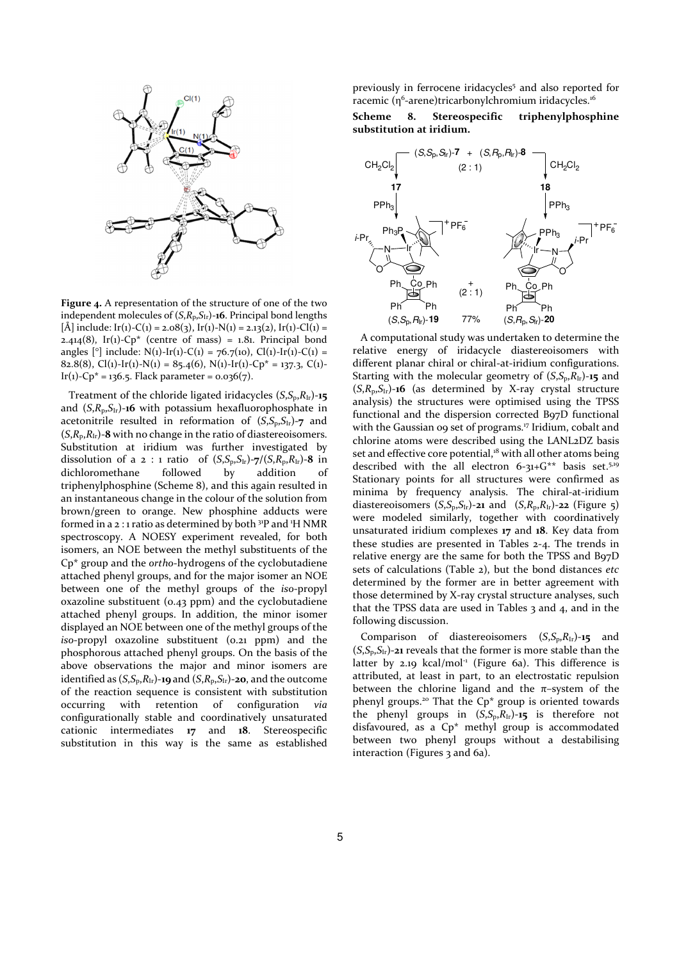

**Figure 4.** A representation of the structure of one of the two independent molecules of (*S*,*R*p,*S*Ir)-**16**. Principal bond lengths  $[\hat{A}]$  include:  $Ir(1)-C(1) = 2.08(3), Ir(1)-N(1) = 2.13(2), Ir(1)-Cl(1) =$ 2.414(8), Ir(1)- $Cp^*$  (centre of mass) = 1.81. Principal bond angles  $[°]$  include: N(1)-Ir(1)-C(1) = 76.7(10), Cl(1)-Ir(1)-C(1) = 82.8(8), Cl(1)-Ir(1)-N(1) = 85.4(6), N(1)-Ir(1)-Cp<sup>\*</sup> = 137.3, C(1)-Ir(1)-Cp<sup>\*</sup> = 136.5. Flack parameter =  $0.036(7)$ .

Treatment of the chloride ligated iridacycles  $(S, S_p, R_{Ir})$ -15 and  $(S, R_p, S_{lr})$ -16 with potassium hexafluorophosphate in acetonitrile resulted in reformation of  $(S, S_p, S_{Ir})$ -7 and  $(S, R_p, R_{Ir})$ -8 with no change in the ratio of diastereoisomers. Substitution at iridium was further investigated by dissolution of a 2 : 1 ratio of  $(S, S_p, S_{lr})$ -7/ $(S, R_p, R_{lr})$ -8 in dichloromethane followed by addition of triphenylphosphine (Scheme 8), and this again resulted in an instantaneous change in the colour of the solution from brown/green to orange. New phosphine adducts were formed in a 2:1 ratio as determined by both <sup>31</sup>P and <sup>1</sup>H NMR spectroscopy. A NOESY experiment revealed, for both isomers, an NOE between the methyl substituents of the Cp\* group and the *ortho*-hydrogens of the cyclobutadiene attached phenyl groups, and for the major isomer an NOE between one of the methyl groups of the *iso*-propyl oxazoline substituent (0.43 ppm) and the cyclobutadiene attached phenyl groups. In addition, the minor isomer displayed an NOE between one of the methyl groups of the *iso*-propyl oxazoline substituent (0.21 ppm) and the phosphorous attached phenyl groups. On the basis of the above observations the major and minor isomers are identified as  $(S, S_p, R_{Ir})$ -19 and  $(S, R_p, S_{Ir})$ -20, and the outcome of the reaction sequence is consistent with substitution occurring with retention of configuration *via* configurationally stable and coordinatively unsaturated cationic intermediates **17** and **18**. Stereospecific substitution in this way is the same as established

previously in ferrocene iridacycles<sup>5</sup> and also reported for racemic (η<sup>6</sup>-arene)tricarbonylchromium iridacycles.<sup>16</sup>

**Scheme 8. Stereospecific triphenylphosphine substitution at iridium.** 



A computational study was undertaken to determine the relative energy of iridacycle diastereoisomers with different planar chiral or chiral-at-iridium configurations. Starting with the molecular geometry of  $(S, S_p, R<sub>Ir</sub>)$ -15 and (*S*,*R*p,*S*Ir)-**16** (as determined by X-ray crystal structure analysis) the structures were optimised using the TPSS functional and the dispersion corrected B97D functional with the Gaussian oo set of programs.<sup>17</sup> Iridium, cobalt and chlorine atoms were described using the LANL2DZ basis set and effective core potential,<sup>18</sup> with all other atoms being described with the all electron 6-31+G<sup>\*\*</sup> basis set.<sup>5,19</sup> Stationary points for all structures were confirmed as minima by frequency analysis. The chiral-at-iridium diastereoisomers  $(S, S_p, S_h)$ -21 and  $(S, R_p, R_h)$ -22 (Figure 5) were modeled similarly, together with coordinatively unsaturated iridium complexes **17** and **18**. Key data from these studies are presented in Tables 2-4. The trends in relative energy are the same for both the TPSS and B97D sets of calculations (Table 2), but the bond distances *etc* determined by the former are in better agreement with those determined by X-ray crystal structure analyses, such that the TPSS data are used in Tables  $3$  and  $4$ , and in the following discussion.

Comparison of diastereoisomers (*S*,*S*p,*R*Ir)-**15** and  $(S, S_n, S_{1r})$ -21 reveals that the former is more stable than the latter by 2.19 kcal/mol<sup>-1</sup> (Figure 6a). This difference is attributed, at least in part, to an electrostatic repulsion between the chlorine ligand and the  $\pi$ -system of the phenyl groups.<sup>20</sup> That the Cp\* group is oriented towards the phenyl groups in  $(S, S_p, R_{Ir})$ -15 is therefore not disfavoured, as a Cp\* methyl group is accommodated between two phenyl groups without a destabilising interaction (Figures 3 and 6a).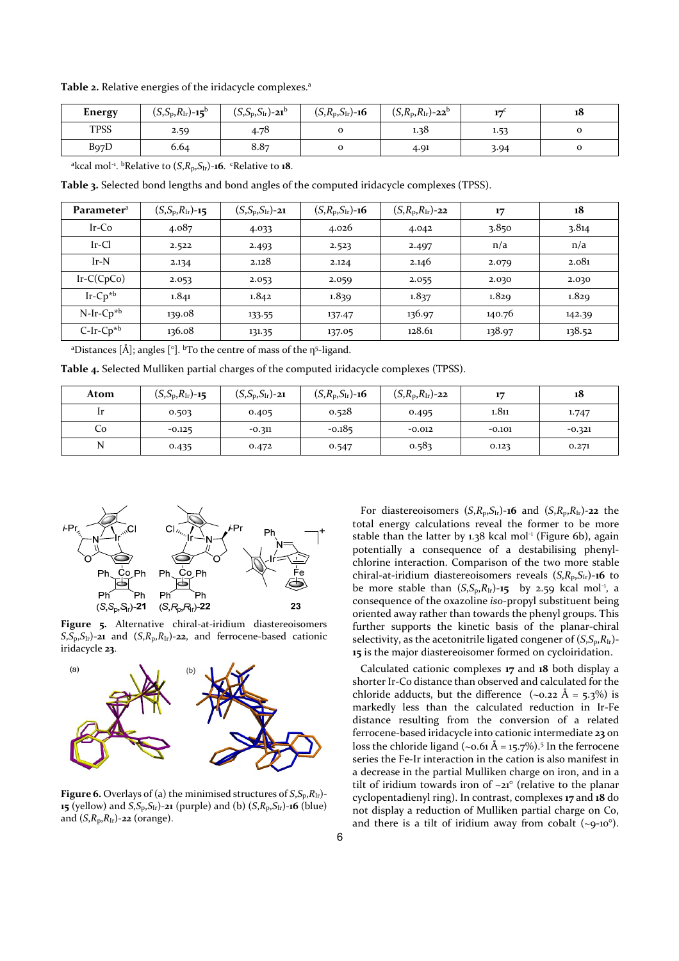Table 2. Relative energies of the iridacycle complexes.<sup>a</sup>

| Energy            | $(S, S_p, R_{Ir})$ -15 <sup>b</sup> | $(c\ c\ c\ )$<br>$(S, S_p, S_{\text{Ir}})$ -21 <sup>b</sup> | $(S, R_p, S_{lr})$ -16 | $(S, R_{p}, R_{lr})$ -22 <sup>b</sup> | 113  | 18 |
|-------------------|-------------------------------------|-------------------------------------------------------------|------------------------|---------------------------------------|------|----|
| <b>TPSS</b>       | 2.59                                | 4.78                                                        |                        | 1.38                                  | 1.53 | 0  |
| B <sub>97</sub> D | 6.64                                | 8.87                                                        |                        | 4.91                                  | 3.94 | o  |

<sup>a</sup>kcal mol<sup>-1</sup>. <sup>b</sup>Relative to  $(S, R_p, S_h)$ -16. <sup>c</sup>Relative to 18.

**Table 3.** Selected bond lengths and bond angles of the computed iridacycle complexes (TPSS).

| Parameter <sup>a</sup> | $(S, S_p, R_{Ir})$ -15 | $(S, S_p, S_{lr})$ -21 | $(S, R_p, S_{1r})$ -16 | $(S, R_{p}, R_{lr})$ -22 | 17     | 18     |
|------------------------|------------------------|------------------------|------------------------|--------------------------|--------|--------|
| $Ir$ -Co               | 4.087                  | 4.033                  | 4.026                  | 4.042                    | 3.850  | 3.814  |
| $Ir-Cl$                | 2.522                  | 2.493                  | 2.523                  | 2.497                    | n/a    | n/a    |
| $Ir-N$                 | 2.134                  | 2.128                  | 2.124                  | 2.146                    | 2.079  | 2.081  |
| $Ir-C(CpCo)$           | 2.053                  | 2.053                  | 2.059                  | 2.055                    | 2.030  | 2.030  |
| $Ir$ - $Cp^{*b}$       | 1.841                  | 1.842                  | 1.839                  | 1.837                    | 1.829  | 1.829  |
| $N-Ir-Cp^{*b}$         | 139.08                 | 133.55                 | 137.47                 | 136.97                   | 140.76 | 142.39 |
| $C-Ir-Cp*b$            | 136.08                 | 131.35                 | 137.05                 | 128.61                   | 138.97 | 138.52 |

<sup>a</sup>Distances [Å]; angles [°]. <sup>b</sup>To the centre of mass of the  $\eta$ <sup>5</sup>-ligand.

**Table 4.** Selected Mulliken partial charges of the computed iridacycle complexes (TPSS).

| Atom | $(S, S_p, R_{Ir})$ -15 | $(S, S_p, S_{lr})$ -21 | $(S, R_p, S_{lr})$ -16 | $(S, R_{p}, R_{lr})$ -22 | 17       | 18       |
|------|------------------------|------------------------|------------------------|--------------------------|----------|----------|
|      | 0.503                  | 0.405                  | 0.528                  | 0.495                    | 1.811    | 1.747    |
| Co   | $-0.125$               | $-0.311$               | $-0.185$               | $-0.012$                 | $-0.101$ | $-0.321$ |
| N    | 0.435                  | 0.472                  | 0.547                  | 0.583                    | 0.123    | 0.271    |



**Figure 5.** Alternative chiral-at-iridium diastereoisomers  $S_{\rm s}S_{\rm p}S_{\rm lr}$ )-21 and  $(S_{\rm s}R_{\rm p}R_{\rm lr})$ -22, and ferrocene-based cationic iridacycle **23**.



**Figure 6.** Overlays of (a) the minimised structures of  $S$ , $S_p$ , $R$ <sub>Ir</sub>)-**15** (yellow) and *S*,  $S_p$ ,  $S_{1r}$ )-21 (purple) and (b)  $(S, R_p, S_{1r})$ -16 (blue) and  $(S, R_p, R_{Ir})$ -22 (orange).

For diastereoisomers  $(S, R_p, S_{\text{Ir}})$ -16 and  $(S, R_p, R_{\text{Ir}})$ -22 the total energy calculations reveal the former to be more stable than the latter by  $1.38$  kcal mol<sup>-1</sup> (Figure 6b), again potentially a consequence of a destabilising phenylchlorine interaction. Comparison of the two more stable chiral-at-iridium diastereoisomers reveals  $(S, R_p, S_{Ir})$ -16 to be more stable than  $(S, S_p, R<sub>Ir</sub>)$ -15 by 2.59 kcal mol<sup>-1</sup>, a consequence of the oxazoline *iso*-propyl substituent being oriented away rather than towards the phenyl groups. This further supports the kinetic basis of the planar-chiral selectivity, as the acetonitrile ligated congener of  $(S, S_p, R_{Ir})$ -**15** is the major diastereoisomer formed on cycloiridation.

Calculated cationic complexes **17** and **18** both display a shorter Ir-Co distance than observed and calculated for the chloride adducts, but the difference  $(-0.22 \text{ Å} = 5.3\%)$  is markedly less than the calculated reduction in Ir-Fe distance resulting from the conversion of a related ferrocene-based iridacycle into cationic intermediate **23** on loss the chloride ligand (~0.61 Å = 15.7%).<sup>5</sup> In the ferrocene series the Fe-Ir interaction in the cation is also manifest in a decrease in the partial Mulliken charge on iron, and in a tilt of iridium towards iron of  $\sim$ 21° (relative to the planar cyclopentadienyl ring). In contrast, complexes **17** and **18** do not display a reduction of Mulliken partial charge on Co, and there is a tilt of iridium away from cobalt  $(-9-10)$ <sup>o</sup>).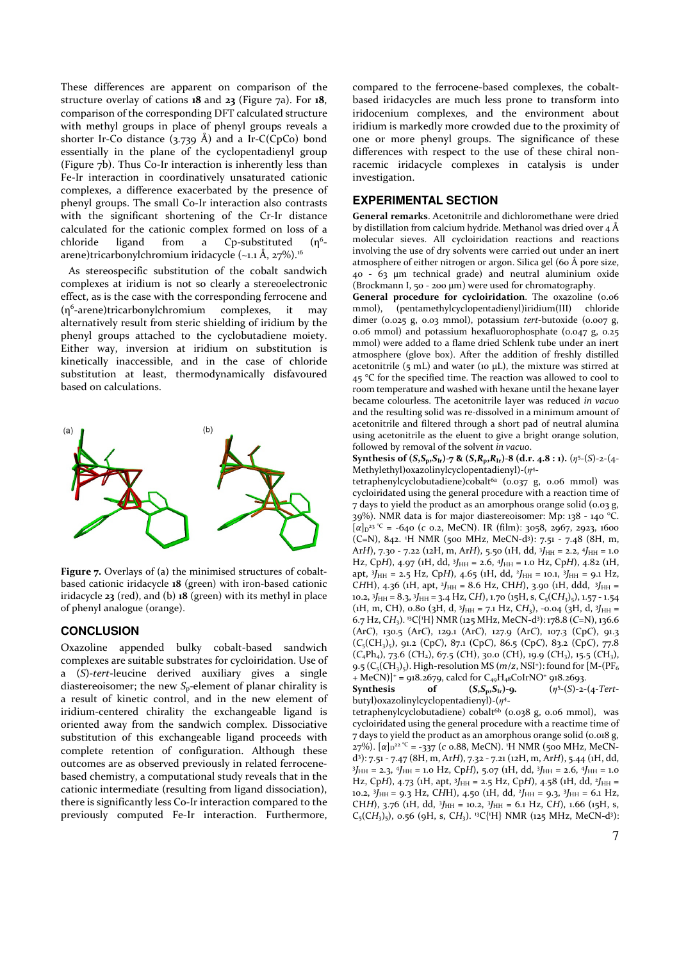These differences are apparent on comparison of the structure overlay of cations **18** and **23** (Figure 7a). For **18**, comparison of the corresponding DFT calculated structure with methyl groups in place of phenyl groups reveals a shorter Ir-Co distance  $(3.739 \text{ Å})$  and a Ir-C(CpCo) bond essentially in the plane of the cyclopentadienyl group (Figure 7b). Thus Co-Ir interaction is inherently less than Fe-Ir interaction in coordinatively unsaturated cationic complexes, a difference exacerbated by the presence of phenyl groups. The small Co-Ir interaction also contrasts with the significant shortening of the Cr-Ir distance calculated for the cationic complex formed on loss of a chloride ligand from a Cp-substituted  $(n<sup>6</sup>$ arene)tricarbonylchromium iridacycle (~1.1 Å, 27%).<sup>16</sup>

As stereospecific substitution of the cobalt sandwich complexes at iridium is not so clearly a stereoelectronic effect, as is the case with the corresponding ferrocene and (η<sup>6</sup> -arene)tricarbonylchromium complexes, it may alternatively result from steric shielding of iridium by the phenyl groups attached to the cyclobutadiene moiety. Either way, inversion at iridium on substitution is kinetically inaccessible, and in the case of chloride substitution at least, thermodynamically disfavoured based on calculations.



Figure 7. Overlays of (a) the minimised structures of cobaltbased cationic iridacycle **18** (green) with iron-based cationic iridacycle **23** (red), and (b) **18** (green) with its methyl in place of phenyl analogue (orange).

# **CONCLUSION**

Oxazoline appended bulky cobalt-based sandwich complexes are suitable substrates for cycloiridation. Use of a (*S*)*-tert*-leucine derived auxiliary gives a single diastereoisomer; the new *S*p-element of planar chirality is a result of kinetic control, and in the new element of iridium-centered chirality the exchangeable ligand is oriented away from the sandwich complex. Dissociative substitution of this exchangeable ligand proceeds with complete retention of configuration. Although these outcomes are as observed previously in related ferrocenebased chemistry, a computational study reveals that in the cationic intermediate (resulting from ligand dissociation), there is significantly less Co-Ir interaction compared to the previously computed Fe-Ir interaction. Furthermore,

compared to the ferrocene-based complexes, the cobaltbased iridacycles are much less prone to transform into iridocenium complexes, and the environment about iridium is markedly more crowded due to the proximity of one or more phenyl groups. The significance of these differences with respect to the use of these chiral nonracemic iridacycle complexes in catalysis is under investigation.

# **EXPERIMENTAL SECTION**

**General remarks**. Acetonitrile and dichloromethane were dried by distillation from calcium hydride. Methanol was dried over  $4 \text{ Å}$ molecular sieves. All cycloiridation reactions and reactions involving the use of dry solvents were carried out under an inert atmosphere of either nitrogen or argon. Silica gel (60 Å pore size, 40 - 63 µm technical grade) and neutral aluminium oxide (Brockmann I, 50 - 200 µm) were used for chromatography.

**General procedure for cycloiridation**. The oxazoline (0.06 mmol), (pentamethylcyclopentadienyl)iridium(III) chloride dimer (0.025 g, 0.03 mmol), potassium *tert*-butoxide (0.007 g, 0.06 mmol) and potassium hexafluorophosphate (0.047 g, 0.25 mmol) were added to a flame dried Schlenk tube under an inert atmosphere (glove box). After the addition of freshly distilled acetonitrile  $(5 \text{ mL})$  and water (10  $\mu$ L), the mixture was stirred at  $45$  °C for the specified time. The reaction was allowed to cool to room temperature and washed with hexane until the hexane layer became colourless. The acetonitrile layer was reduced *in vacuo* and the resulting solid was re-dissolved in a minimum amount of acetonitrile and filtered through a short pad of neutral alumina using acetonitrile as the eluent to give a bright orange solution, followed by removal of the solvent *in vacuo*.

**Synthesis of**  $(S, S_p, S_{Ir})$ **-7 &**  $(S, R_p, R_{Ir})$ **-8**  $(d.r. 4.8 : 1)$ **.**  $(\eta^{5}-(S)-2-(4-S))$ Methylethyl) oxazolinylcyclopentadienyl) - ( $\eta$ <sup>4</sup>-

tetraphenylcyclobutadiene)cobalt6a (0.037 g, 0.06 mmol) was cycloiridated using the general procedure with a reaction time of 7 days to yield the product as an amorphous orange solid (0.03 g, 39%). NMR data is for major diastereoisomer: Mp: 138 - 140 °C. [α]<sub>D</sub><sup>23</sup> <sup>°C</sup> = -640 (*c* 0.2, MeCN). IR (film): 3058, 2967, 2923, 1600 (C=N), 842. <sup>1</sup>H NMR (500 MHz, MeCN-d<sup>3</sup> ): 7.51 - 7.48 (8H, m, Ar*H*), 7.30 - 7.22 (12H, m, Ar*H*), 5.50 (1H, dd, 3J<sub>HH</sub> = 2.2, 4J<sub>HH</sub> = 1.0 Hz, CpH), 4.97 (1H, dd, <sup>3</sup>J<sub>HH</sub> = 2.6, <sup>4</sup>J<sub>HH</sub> = 1.0 Hz, CpH), 4.82 (1H, apt, 3*J*<sub>HH</sub> = 2.5 Hz, Cp*H*), 4.65 (1H, dd, <sup>2</sup>*J*<sub>HH</sub> = 10.1, 3*J*<sub>HH</sub> = 9.1 Hz, CHH), 4.36 (1H, apt, <sup>2</sup>J<sub>HH</sub> = 8.6 Hz, CH*H*), 3.90 (1H, ddd, <sup>3J</sup>HH = 10.2, <sup>3</sup>J<sub>HH</sub> = 8.3, <sup>3J</sup>HH = 3.4 Hz, C*H*), 1.70 (15H, s, C<sub>5</sub>(C*H*<sub>3</sub>)<sub>5</sub>), 1.57 - 1.54 (*iH*, m, CH), 0.80 (3H, d, 3J<sub>HH</sub> = 7.1 Hz, CH<sub>3</sub>), -0.04 (3H, d, 3J<sub>HH</sub> = 6.7 Hz, C*H*3). <sup>13</sup>C{<sup>1</sup>H} NMR (125 MHz, MeCN-d<sup>3</sup> ): 178.8 (*C*=N), 136.6 (Ar*C*), 130.5 (Ar*C*), 129.1 (Ar*C*), 127.9 (Ar*C*), 107.3 (Cp*C*), 91.3 (*C*5(CH3)5), 91.2 (Cp*C*), 87.1 (Cp*C*), 86.5 (Cp*C*), 83.2 (Cp*C*), 77.8 (*C*4Ph4), 73.6 (*C*H2), 67.5 (*C*H), 30.0 (*C*H), 19.9 (*C*H3), 15.5 (*C*H3), 9.5 (C<sub>5</sub>(CH<sub>3</sub>)<sub>5</sub>). High-resolution MS (*m*/*z*, NSI<sup>+</sup>): found for [M-(PF<sub>6</sub>  $+$  MeCN)]<sup>+</sup> = 918.2679, calcd for C<sub>49</sub>H<sub>48</sub>CoIrNO<sup>+</sup> 918.2693.

**Synthesis** of  $(S, S_p, S_{\text{Ir}})$ -9. 5 -(*S*)-2-(4-*Tert*butyl)oxazolinylcyclopentadienyl)-(*ƞ* 4 -

tetraphenylcyclobutadiene) cobalt<sup>6b</sup> (0.038 g, 0.06 mmol), was cycloiridated using the general procedure with a reactime time of 7 days to yield the product as an amorphous orange solid (0.018 g, 27%). [α]<sub>D</sub>22 ℃ = -337 (*c* 0.88, MeCN). 1H NMR (500 MHz, MeCNd 3 ): 7.51 - 7.47 (8H, m, Ar*H*), 7.32 - 7.21 (12H, m, Ar*H*), 5.44 (1H, dd, 3J<sub>HH</sub> = 2.3, <sup>4J</sup>HH = 1.0 Hz, CpH), 5.07 (1H, dd, <sup>3J</sup>HH = 2.6, <sup>4J</sup>HH = 1.0 Hz, CpH), 4.73 (1H, apt, <sup>3</sup>J<sub>HH</sub> = 2.5 Hz, CpH), 4.58 (1H, dd, <sup>2</sup>J<sub>HH</sub> = 10.2, <sup>3</sup>J<sub>HH</sub> = 9.3 Hz, CHH), 4.50 (1H, dd, <sup>2</sup>J<sub>HH</sub> = 9.3, <sup>3J</sup><sub>HH</sub> = 6.1 Hz, CH*H*), 3.76 (1H, dd, 3*J*<sub>HH</sub> = 10.2, 3*J*<sub>HH</sub> = 6.1 Hz, C*H*), 1.66 (15H, s,  $C_5(CH_3)$ , 0.56 (9H, s, CH<sub>3</sub>). <sup>13</sup>C{<sup>1</sup>H} NMR (125 MHz, MeCN-d<sup>3</sup>):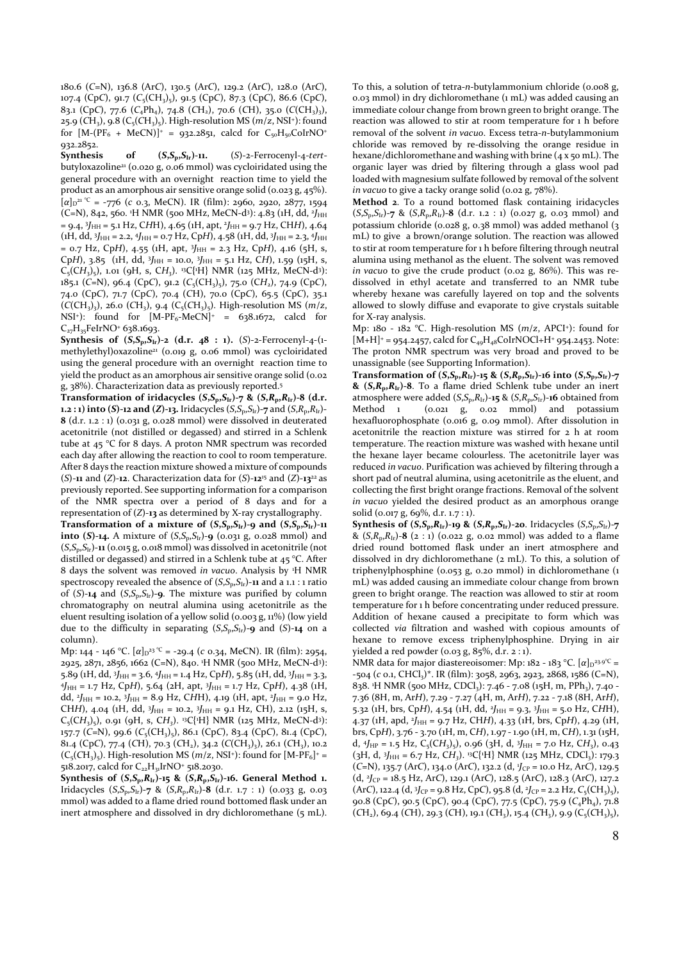180.6 (*C*=N), 136.8 (Ar*C*), 130.5 (Ar*C*), 129.2 (Ar*C*), 128.0 (Ar*C*), 107.4 (Cp*C*), 91.7 (*C*5(CH3)5), 91.5 (Cp*C*), 87.3 (Cp*C*), 86.6 (Cp*C*), 83.1 (Cp*C*), 77.6 (*C*4Ph4), 74.8 (*C*H2), 70.6 (*C*H), 35.0 (*C*(CH3)3), 25.9 (CH<sub>3</sub>), 9.8 (C<sub>5</sub>(CH<sub>3</sub>)<sub>5</sub>). High-resolution MS (*m*/*z*, NSI<sup>+</sup>): found for  $[M-(PF_6 + MeCN)]^+ = 932.2851$ , calcd for  $C_{50}H_{50}CoIrNO^+$ 932.2852.

**Synthesis of (***S***,***S***p,***S***Ir)-11.** (*S*)-2-Ferrocenyl-4-*tert*butyloxazoline<sup>21</sup> (0.020 g, 0.06 mmol) was cycloiridated using the general procedure with an overnight reaction time to yield the product as an amorphous air sensitive orange solid (0.023 g, 45%).  $[\alpha]_{D}^{\alpha}$ <sup>21 °C</sup> = -776 (*c* 0.3, MeCN). IR (film): 2960, 2920, 2877, 1594 (C=N), 842, 560. <sup>1</sup>H NMR (500 MHz, MeCN-d<sup>3</sup>): 4.83 (1H, dd, <sup>2</sup>J<sub>HH</sub> = 9.4, <sup>3</sup> *J*HH = 5.1 Hz, C*H*H), 4.65 (1H, apt, <sup>2</sup> *J*HH = 9.7 Hz, CH*H*), 4.64 (1H, dd, 3J<sub>HH</sub> = 2.2, 4J<sub>HH</sub> = 0.7 Hz, CpH), 4.58 (1H, dd, 3J<sub>HH</sub> = 2.3, 4J<sub>HH</sub> = 0.7 Hz, CpH), 4.55 (1H, apt, 3J<sub>HH</sub> = 2.3 Hz, CpH), 4.16 (5H, s, CpH),  $3.85$  (iH, dd,  $3J_{HH} = 10.0$ ,  $3J_{HH} = 5.1$  Hz, CH), 1.59 (15H, s,  $C_5(CH_3)_5$ , 1.01 (9H, s, CH<sub>3</sub>). <sup>13</sup>C{<sup>1</sup>H} NMR (125 MHz, MeCN-d<sup>3</sup>): 185.1 (*C*=N), 96.4 (Cp*C*), 91.2 (*C*5(CH3)5), 75.0 (C*H*2), 74.9 (Cp*C*), 74.0 (Cp*C*), 71.7 (Cp*C*), 70.4 (*C*H), 70.0 (Cp*C*), 65.5 (Cp*C*), 35.1  $(C(CH_3)_{3}$ , 26.0  $(CH_3)$ , 9.4  $(C_5(CH_3)_{5})$ . High-resolution MS (*m*/*z*, NSI<sup>+</sup>): found for  $[M-PF_6-MeCN]^+$  = 638.1672, calcd for C<sub>27</sub>H<sub>35</sub>FeIrNO<sup>+</sup> 638.1693.

**Synthesis of**  $(S, S_p, S_H)$ **-2 (d.r. 48 : 1).**  $(S)$ -2-Ferrocenyl-4-(1methylethyl)oxazoline<sup>21</sup> (0.019 g, 0.06 mmol) was cycloiridated using the general procedure with an overnight reaction time to yield the product as an amorphous air sensitive orange solid (0.02 g, 38%). Characterization data as previously reported.<sup>5</sup>

**Transformation of iridacycles (***S***,***S***p,***S***Ir)-7 & (***S***,***R***p,***R***Ir)-8 (d.r. 1.2 : 1) into (***S***)-12 and (***Z***)-13. Iridacycles (***S***,***S***<sub>p</sub>,***S***<sub>Ir</sub>)-7 and (***S***,***R***<sub>p</sub>,***R***<sub>Ir</sub>)-8** (d.r. 1.2 : 1) (0.031 g, 0.028 mmol) were dissolved in deuterated acetonitrile (not distilled or degassed) and stirred in a Schlenk tube at 45 °C for 8 days. A proton NMR spectrum was recorded each day after allowing the reaction to cool to room temperature. After 8 days the reaction mixture showed a mixture of compounds (*S*)-**11** and (*Z*)-**12**. Characterization data for (*S*)-**12**<sup>15</sup> and (*Z*)-**13**<sup>22</sup>as previously reported. See supporting information for a comparison of the NMR spectra over a period of 8 days and for a representation of (*Z*)-**13** as determined by X-ray crystallography.

**Transformation of a mixture of**  $(S, S_p, S_H)$ **-9 and**  $(S, S_p, S_H)$ **-11 into (***S***)-14.** A mixture of  $(S, S_p, S_{1r})$ -9 (0.031 g, 0.028 mmol) and  $(S, S_p, S_H)$ -11 (0.015 g, 0.018 mmol) was dissolved in acetonitrile (not distilled or degassed) and stirred in a Schlenk tube at 45 °C. After 8 days the solvent was removed *in vacuo*. Analysis by <sup>1</sup>H NMR spectroscopy revealed the absence of  $(S, S_p, S_H)$ -11 and a 1.1 : 1 ratio of  $(S)$ -14 and  $(S, S_p, S_{Ir})$ -9. The mixture was purified by column chromatography on neutral alumina using acetonitrile as the eluent resulting isolation of a yellow solid (0.003 g, 11%) (low yield due to the difficulty in separating (*S*,*S*p,*S*Ir)-**9** and (*S*)-**14** on a column).

Mp: 144 - 146 °C. [α]<sub>D</sub><sup>23</sup> °<sup>C</sup> = -29.4 (*c* 0.34, MeCN). IR (film): 2954, 2925, 2871, 2856, 1662 (C=N), 840. <sup>1</sup>H NMR (500 MHz, MeCN-d<sup>3</sup> ): 5.89 (1H, dd, <sup>3</sup>J<sub>HH</sub> = 3.6, <sup>4</sup>J<sub>HH</sub> = 1.4 Hz, CpH), 5.85 (1H, dd, <sup>3J</sup>HH = 3.3, 4 *J*HH = 1.7 Hz, Cp*H*), 5.64 (2H, apt, <sup>3</sup> *J*HH = 1.7 Hz, Cp*H*), 4.38 (1H, dd, <sup>2</sup>*J*HH = 10.2, <sup>3</sup>*J*HH = 8.9 Hz, CHH), 4.19 (1H, apt, <sup>2</sup>*J*HH = 9.0 Hz, CH*H*), 4.04 (1H, dd, 3J<sub>HH</sub> = 10.2, 3J<sub>HH</sub> = 9.1 Hz, CH), 2.12 (15H, s,  $C_5(CH_3)_5$ , o.91 (9H, s, CH<sub>3</sub>). <sup>13</sup>C{<sup>1</sup>H} NMR (125 MHz, MeCN-d<sup>3</sup>): 157.7 (*C*=N), 99.6 (*C*5(CH3)5), 86.1 (Cp*C*), 83.4 (Cp*C*), 81.4 (Cp*C*), 81.4 (Cp*C*), 77.4 (*C*H), 70.3 (*C*H2), 34.2 (*C*(CH3)3), 26.1 (*C*H3), 10.2  $(C_5(CH_3)_5)$ . High-resolution MS  $(m/z, NSI^+)$ : found for  $[M-PF_6]^+$  = 518.2017, calcd for C<sub>22</sub>H<sub>31</sub>IrNO<sup>+</sup> 518.2030.

**Synthesis of**  $(S, S_p, R_1, -15 \& (S, R_p, S_1, -16)$ **. General Method 1.** Iridacycles (*S*,*S*p,*S*Ir)-**7** & (*S*,*R*p,*R*Ir)-**8** (d.r. 1.7 : 1) (0.033 g, 0.03 mmol) was added to a flame dried round bottomed flask under an inert atmosphere and dissolved in dry dichloromethane (5 mL). To this, a solution of tetra-*n*-butylammonium chloride (0.008 g, 0.03 mmol) in dry dichloromethane (1 mL) was added causing an immediate colour change from brown green to bright orange. The reaction was allowed to stir at room temperature for 1 h before removal of the solvent *in vacuo*. Excess tetra-*n*-butylammonium chloride was removed by re-dissolving the orange residue in hexane/dichloromethane and washing with brine (4 x 50 mL). The organic layer was dried by filtering through a glass wool pad loaded with magnesium sulfate followed by removal of the solvent in vacuo to give a tacky orange solid (0.02 g, 78%).

**Method 2**. To a round bottomed flask containing iridacycles (*S*,*S*p,*S*Ir)-**7** & (*S*,*R*p,*R*Ir)-**8** (d.r. 1.2 : 1) (0.027 g, 0.03 mmol) and potassium chloride (0.028 g, 0.38 mmol) was added methanol (3 mL) to give a brown/orange solution. The reaction was allowed to stir at room temperature for 1 h before filtering through neutral alumina using methanol as the eluent. The solvent was removed *in vacuo* to give the crude product (0.02 g, 86%). This was redissolved in ethyl acetate and transferred to an NMR tube whereby hexane was carefully layered on top and the solvents allowed to slowly diffuse and evaporate to give crystals suitable for X-ray analysis.

Mp: 180 - 182 °C. High-resolution MS (*m*/*z*, APCI<sup>+</sup> ): found for  $[M+H]^{+}$  = 954.2457, calcd for  $C_{49}H_{48}$ CoIrNOCl+H<sup>+</sup> 954.2453. Note: The proton NMR spectrum was very broad and proved to be unassignable (see Supporting Information).

Transformation of  $(S, S_p, R_{Ir})$ -15 &  $(S, R_p, S_{Ir})$ -16 into  $(S, S_p, S_{Ir})$ -7  $\&$  (*S*, $R_p$ , $R_{Ir}$ )-8. To a flame dried Schlenk tube under an inert atmosphere were added (*S*,*S*p,*R*Ir)-**15** & (*S*,*R*p,*S*Ir)-**16** obtained from Method 1 (0.021 g, 0.02 mmol) and potassium hexafluorophosphate (0.016 g, 0.09 mmol). After dissolution in acetonitrile the reaction mixture was stirred for 2 h at room temperature. The reaction mixture was washed with hexane until the hexane layer became colourless. The acetonitrile layer was reduced *in vacuo*. Purification was achieved by filtering through a short pad of neutral alumina, using acetonitrile as the eluent, and collecting the first bright orange fractions. Removal of the solvent *in vacuo* yielded the desired product as an amorphous orange solid (0.017 g, 69%, d.r. 1.7 : 1).

**Synthesis of**  $(S, S_p, R_H)$ **-19 &**  $(S, R_p, S_H)$ **-20**. Iridacycles  $(S, S_p, S_H)$ -7 &  $(S, R_p, R_{Ir})$ -8 (2 : 1) (0.022 g, 0.02 mmol) was added to a flame dried round bottomed flask under an inert atmosphere and dissolved in dry dichloromethane (2 mL). To this, a solution of triphenylphosphine (0.053 g, 0.20 mmol) in dichloromethane (1 mL) was added causing an immediate colour change from brown green to bright orange. The reaction was allowed to stir at room temperature for 1 h before concentrating under reduced pressure. Addition of hexane caused a precipitate to form which was collected *via* filtration and washed with copious amounts of hexane to remove excess triphenylphosphine. Drying in air yielded a red powder (0.03 g, 85%, d.r. 2 : 1).

NMR data for major diastereoisomer: Mp:  $182 - 183$  °C.  $[\alpha]_D^{23.9}$ <sup>°C</sup> = -504 (*c* 0.1, CHCl<sub>3</sub>)\*. IR (film): 3058, 2963, 2923, 2868, 1586 (C=N), 838. <sup>1</sup>H NMR (500 MHz, CDCl<sub>3</sub>): 7.46 - 7.08 (15H, m, PPh<sub>3</sub>), 7.40 -7.36 (8H, m, Ar*H*), 7.29 - 7.27 (4H, m, Ar*H*), 7.22 - 7.18 (8H, Ar*H*), 5.32 (1H, brs, CpH), 4.54 (1H, dd, <sup>2</sup>J<sub>HH</sub> = 9.3, <sup>3J</sup>HH = 5.0 Hz, CHH), 4.37 (1H, apd, <sup>2</sup> *J*HH = 9.7 Hz, CH*H*), 4.33 (1H, brs, Cp*H*), 4.29 (1H, brs, Cp*H*), 3.76 - 3.70 (1H, m, C*H*), 1.97 - 1.90 (1H, m, C*H*), 1.31 (15H, d,  $4J_{HP} = 1.5$  Hz,  $C_5(CH_3)_5$ , 0.96 (3H, d,  $3J_{HH} = 7.0$  Hz,  $CH_3$ ), 0.43 (3H, d, 3J<sub>HH</sub> = 6.7 Hz, CH<sub>3</sub>). <sup>13</sup>C{<sup>1</sup>H} NMR (125 MHz, CDCl<sub>3</sub>): 179.3 (*C*=N), 135.7 (Ar*C*), 134.0 (Ar*C*), 132.2 (d, <sup>1</sup> *J*CP = 10.0 Hz, Ar*C*), 129.5 (d, <sup>2</sup> *J*CP = 18.5 Hz, Ar*C*), 129.1 (Ar*C*), 128.5 (Ar*C*), 128.3 (Ar*C*), 127.2  $(ArC)$ , 122.4  $(d, {}^{3}J_{CP} = 9.8 \text{ Hz}, CpC)$ , 95.8  $(d, {}^{2}J_{CP} = 2.2 \text{ Hz}, C_5(CH_3)_5)$ , 90.8 (CpC), 90.5 (CpC), 90.4 (CpC), 77.5 (CpC), 75.9 (C<sub>4</sub>Ph<sub>4</sub>), 71.8  $(CH<sub>2</sub>), 69.4 (CH), 29.3 (CH), 19.1 (CH<sub>3</sub>), 15.4 (CH<sub>3</sub>), 9.9 (C<sub>5</sub>(CH<sub>3</sub>),$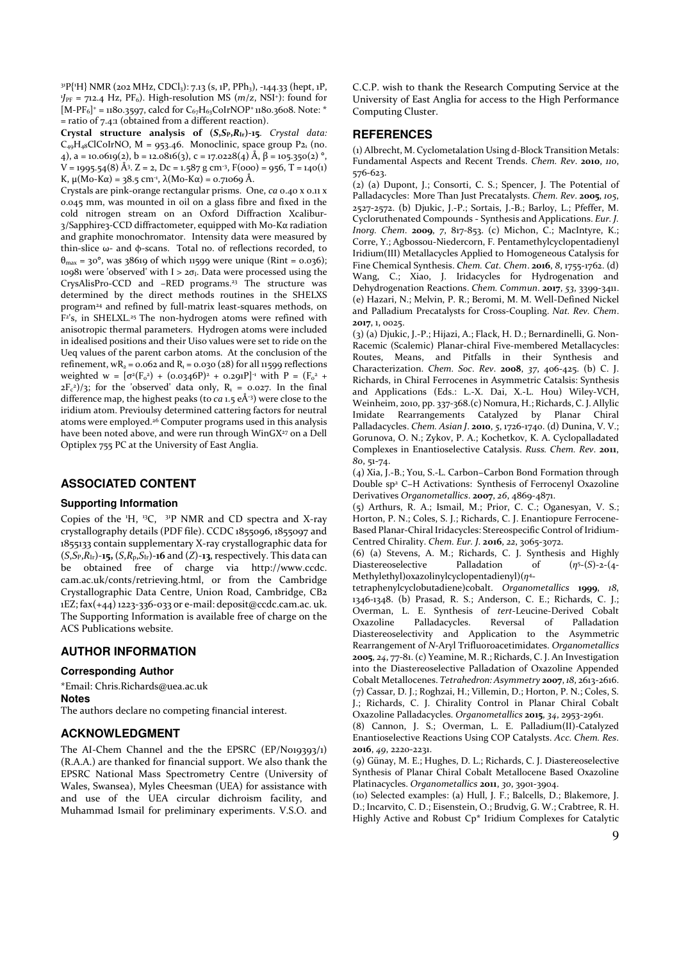$3^{18}P{^1_1H}$  NMR (202 MHz, CDCl<sub>3</sub>): 7.13 (s, 1P, PPh<sub>3</sub>), -144.33 (hept, 1P,  $J_{PF}$  = 712.4 Hz, PF<sub>6</sub>). High-resolution MS ( $m/z$ , NSI<sup>+</sup>): found for  $[M-PF<sub>6</sub>]$ <sup>+</sup> = 1180.3597, calcd for C<sub>67</sub>H<sub>63</sub>CoIrNOP<sup>+</sup> 1180.3608. Note: \* = ratio of 7.4:1 (obtained from a different reaction).

**Crystal structure analysis of (***S***,***S***P,***R***Ir)-15**. *Crystal data:*  $C_{49}H_{48}Cl$ CoIrNO, M = 953.46. Monoclinic, space group P2<sub>1</sub> (no. 4),  $a = 10.0619(2)$ ,  $b = 12.0816(3)$ ,  $c = 17.0228(4)$  Å,  $\beta = 105.350(2)$ °,  $V = 1995.54(8)$  Å<sup>3</sup>.  $Z = 2$ , Dc = 1.587 g cm<sup>-3</sup>, F(000) = 956, T = 140(1) K,  $\mu$ (Mo-K $\alpha$ ) = 38.5 cm<sup>-1</sup>,  $\lambda$ (Mo-K $\alpha$ ) = 0.71069 Å.

Crystals are pink-orange rectangular prisms. One, *ca* 0.40 x 0.11 x 0.045 mm, was mounted in oil on a glass fibre and fixed in the cold nitrogen stream on an Oxford Diffraction Xcalibur-3/Sapphire3-CCD diffractometer, equipped with Mo-Kα radiation and graphite monochromator. Intensity data were measured by thin-slice ω- and φ-scans. Total no. of reflections recorded, to  $θ<sub>max</sub> = 30°$ , was 38619 of which 11599 were unique (Rint = 0.036); 10981 were 'observed' with  $I > 2\sigma_I$ . Data were processed using the CrysAlisPro-CCD and –RED programs.<sup>23</sup> The structure was determined by the direct methods routines in the SHELXS program<sup>24</sup> and refined by full-matrix least-squares methods, on F<sup>2'</sup>s, in SHELXL.<sup>25</sup> The non-hydrogen atoms were refined with anisotropic thermal parameters. Hydrogen atoms were included in idealised positions and their Uiso values were set to ride on the Ueq values of the parent carbon atoms. At the conclusion of the refinement,  $wR_2 = 0.062$  and  $R_1 = 0.030$  (28) for all 11599 reflections weighted w =  $[\sigma^2(F_0^2) + (0.0346P)^2 + 0.291P]$ <sup>-1</sup> with P =  $(F_0^2 +$  $2F_c^2$ / $\frac{3}{2}$ ; for the 'observed' data only,  $R_1 = 0.027$ . In the final difference map, the highest peaks (to *ca* 1.5 eÅ-3) were close to the iridium atom. Previoulsy determined cattering factors for neutral atoms were employed.<sup>26</sup> Computer programs used in this analysis have been noted above, and were run through WinGX<sup>27</sup> on a Dell Optiplex 755 PC at the University of East Anglia.

# **ASSOCIATED CONTENT**

#### **Supporting Information**

Copies of the  $H$ , <sup>13</sup>C, <sup>31</sup>P NMR and CD spectra and X-ray crystallography details (PDF file). CCDC 1855096, 1855097 and 1855133 contain supplementary X-ray crystallographic data for (*S*,*S*P,*R*Ir)-**15,** (*S*,*R*p,*S*Ir)-**16** and (*Z*)-**13**, respectively. This data can be obtained free of charge via http://www.ccdc. cam.ac.uk/conts/retrieving.html, or from the Cambridge Crystallographic Data Centre, Union Road, Cambridge, CB2 1EZ; fax(+44) 1223-336-033 or e-mail: deposit@ccdc.cam.ac. uk. The Supporting Information is available free of charge on the ACS Publications website.

# **AUTHOR INFORMATION**

### **Corresponding Author**

\*Email: Chris.Richards@uea.ac.uk **Notes**  The authors declare no competing financial interest.

## **ACKNOWLEDGMENT**

The AI-Chem Channel and the the EPSRC (EP/N019393/1) (R.A.A.) are thanked for financial support. We also thank the EPSRC National Mass Spectrometry Centre (University of Wales, Swansea), Myles Cheesman (UEA) for assistance with and use of the UEA circular dichroism facility, and Muhammad Ismail for preliminary experiments. V.S.O. and

C.C.P. wish to thank the Research Computing Service at the University of East Anglia for access to the High Performance Computing Cluster.

# **REFERENCES**

(1) Albrecht, M. Cyclometalation Using d-Block Transition Metals: Fundamental Aspects and Recent Trends. *Chem. Rev*. **2010**, *110*, 576-623.

 $(2)$  (a) Dupont, J.; Consorti, C. S.; Spencer, J. The Potential of Palladacycles: More Than Just Precatalysts. *Chem. Rev*. **2005**, *105*, 2527-2572. (b) Djukic, J.-P.; Sortais, J.-B.; Barloy, L.; Pfeffer, M. Cycloruthenated Compounds - Synthesis and Applications. *Eur. J. Inorg. Chem*. **2009**, *7*, 817-853. (c) Michon, C.; MacIntyre, K.; Corre, Y.; Agbossou-Niedercorn, F. Pentamethylcyclopentadienyl Iridium(III) Metallacycles Applied to Homogeneous Catalysis for Fine Chemical Synthesis. *Chem. Cat. Chem*. **2016**, *8*, 1755-1762. (d) Wang, C.; Xiao, J. Iridacycles for Hydrogenation and Dehydrogenation Reactions. *Chem. Commun*. **2017**, *53*, 3399-3411. (e) Hazari, N.; Melvin, P. R.; Beromi, M. M. Well-Defined Nickel and Palladium Precatalysts for Cross-Coupling. *Nat. Rev. Chem*. **2017**, 1, 0025.

(3) (a) Djukic, J.-P.; Hijazi, A.; Flack, H. D.; Bernardinelli, G. Non-Racemic (Scalemic) Planar-chiral Five-membered Metallacycles: Routes, Means, and Pitfalls in their Synthesis and Characterization. *Chem. Soc. Rev*. **2008**, *37*, 406-425. (b) C. J. Richards, in Chiral Ferrocenes in Asymmetric Catalsis: Synthesis and Applications (Eds.: L.-X. Dai, X.-L. Hou) Wiley-VCH, Weinheim, 2010, pp. 337-368.(c) Nomura, H.; Richards, C. J. Allylic Imidate Rearrangements Catalyzed by Planar Chiral Palladacycles. *Chem. Asian J*. **2010**, *5*, 1726-1740. (d) Dunina, V. V.; Gorunova, O. N.; Zykov, P. A.; Kochetkov, K. A. Cyclopalladated Complexes in Enantioselective Catalysis. *Russ. Chem. Rev*. **2011**, *80*, 51-74.

(4) Xia, J.-B.; You, S.-L. Carbon−Carbon Bond Formation through Double sp<sup>2</sup> C−H Activations: Synthesis of Ferrocenyl Oxazoline Derivatives *Organometallics*. **2007**, *26*, 4869-4871.

(5) Arthurs, R. A.; Ismail, M.; Prior, C. C.; Oganesyan, V. S.; Horton, P. N.; Coles, S. J.; Richards, C. J. Enantiopure Ferrocene-Based Planar-Chiral Iridacycles: Stereospecific Control of Iridium-Centred Chirality. *Chem. Eur. J*. **2016**, *22*, 3065-3072.

(6) (a) Stevens, A. M.; Richards, C. J. Synthesis and Highly Diastereoselective Palladation of (*η* 5 -(*S*)-2-(4- Methylethyl)oxazolinylcyclopentadienyl)(*η* 4 -

tetraphenylcyclobutadiene)cobalt. *Organometallics* **1999**, *18*, 1346-1348. (b) Prasad, R. S.; Anderson, C. E.; Richards, C. J.; Overman, L. E. Synthesis of *tert*-Leucine-Derived Cobalt Oxazoline Palladacycles. Reversal of Palladation Diastereoselectivity and Application to the Asymmetric Rearrangement of *N*-Aryl Trifluoroacetimidates. *Organometallics* **2005**, *24*, 77-81. (c) Yeamine, M. R.; Richards, C. J. An Investigation into the Diastereoselective Palladation of Oxazoline Appended Cobalt Metallocenes. *Tetrahedron: Asymmetry* **2007**, *18*, 2613-2616. (7) Cassar, D. J.; Roghzai, H.; Villemin, D.; Horton, P. N.; Coles, S. J.; Richards, C. J. Chirality Control in Planar Chiral Cobalt Oxazoline Palladacycles. *Organometallics* **2015**, *34*, 2953-2961.

(8) Cannon, J. S.; Overman, L. E. Palladium(II)-Catalyzed Enantioselective Reactions Using COP Catalysts. *Acc. Chem. Res*. **2016**, *49*, 2220-2231.

(9) Günay, M. E.; Hughes, D. L.; Richards, C. J. Diastereoselective Synthesis of Planar Chiral Cobalt Metallocene Based Oxazoline Platinacycles. *Organometallics* **2011**, *30*, 3901-3904.

(10) Selected examples: (a) Hull, J. F.; Balcells, D.; Blakemore, J. D.; Incarvito, C. D.; Eisenstein, O.; Brudvig, G. W.; Crabtree, R. H. Highly Active and Robust Cp\* Iridium Complexes for Catalytic